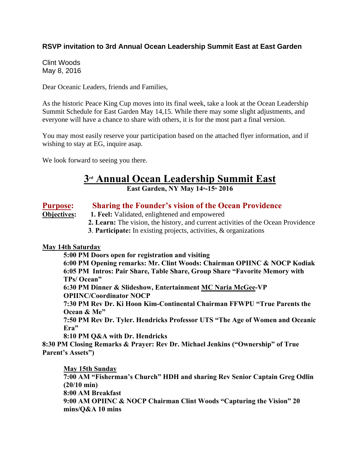## **RSVP invitation to 3rd Annual Ocean Leadership Summit East at East Garden**

Clint Woods May 8, 2016

Dear Oceanic Leaders, friends and Families,

As the historic Peace King Cup moves into its final week, take a look at the Ocean Leadership Summit Schedule for East Garden May 14,15. While there may some slight adjustments, and everyone will have a chance to share with others, it is for the most part a final version.

You may most easily reserve your participation based on the attached flyer information, and if wishing to stay at EG, inquire asap.

We look forward to seeing you there.

# **3 rd Annual Ocean Leadership Summit East**

**East Garden, NY May 14th-15th 2016**

### **Purpose: Sharing the Founder's vision of the Ocean Providence**

### **Objectives: 1. Feel:** Validated, enlightened and empowered

- **2. Learn:** The vision, the history, and current activities of the Ocean Providence
- **3**. **Participate:** In existing projects, activities, & organizations

### **May 14th Saturday**

**5:00 PM Doors open for registration and visiting**

**6:00 PM Opening remarks: Mr. Clint Woods: Chairman OPIINC & NOCP Kodiak 6:05 PM Intros: Pair Share, Table Share, Group Share "Favorite Memory with TPs/ Ocean"**

**6:30 PM Dinner & Slideshow, Entertainment MC Naria McGee-VP OPIINC/Coordinator NOCP**

**7:30 PM Rev Dr. Ki Hoon Kim-Continental Chairman FFWPU "True Parents the Ocean & Me"**

**7:50 PM Rev Dr. Tyler. Hendricks Professor UTS "The Age of Women and Oceanic Era"**

**8:10 PM Q&A with Dr. Hendricks** 

**8:30 PM Closing Remarks & Prayer: Rev Dr. Michael Jenkins ("Ownership" of True Parent's Assets")**

**May 15th Sunday 7:00 AM "Fisherman's Church" HDH and sharing Rev Senior Captain Greg Odlin (20/10 min) 8:00 AM Breakfast 9:00 AM OPIINC & NOCP Chairman Clint Woods "Capturing the Vision" 20 mins/Q&A 10 mins**